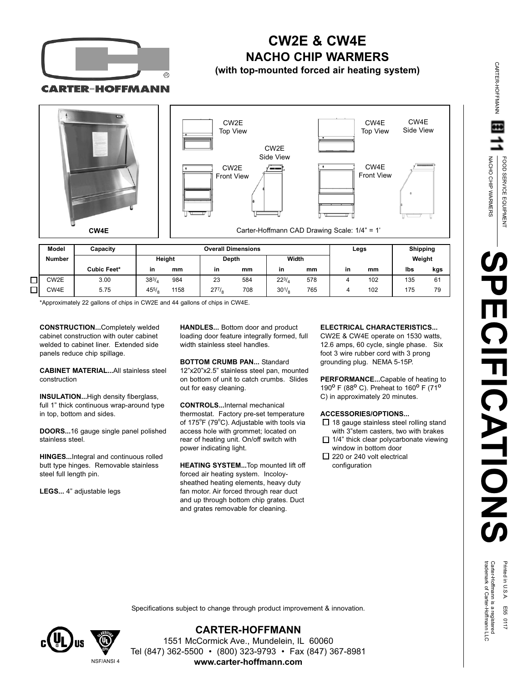

# **CW2E & CW4E NACHO CHIP WARMERS**

**(with top-mounted forced air heating system)**

**CARTER-HOFFMANN** 



 $\Box$  $CWAF$  5.75

\*Approximately 22 gallons of chips in CW2E and 44 gallons of chips in CW4E.

5 /

1158

**CONSTRUCTION...**Completely welded cabinet construction with outer cabinet welded to cabinet liner. Extended side panels reduce chip spillage.

**CABINET MATERIAL...**All stainless steel construction

**INSULATION...**High density fiberglass, full 1" thick continuous wrap-around type in top, bottom and sides.

**DOORS...**16 gauge single panel polished stainless steel.

**HINGES...**Integral and continuous rolled butt type hinges. Removable stainless steel full length pin.

**LEGS...** 4" adjustable legs

**HANDLES...** Bottom door and product loading door feature integrally formed, full width stainless steel handles.

708

1 /

7 /

**BOTTOM CRUMB PAN...** Standard 12"x20"x2.5" stainless steel pan, mounted on bottom of unit to catch crumbs. Slides out for easy cleaning.

**CONTROLS...**Internal mechanical thermostat. Factory pre-set temperature of 175°F (79°C). Adjustable with tools via access hole with grommet; located on rear of heating unit. On/off switch with power indicating light.

**HEATING SYSTEM...**Top mounted lift off forced air heating system. Incoloysheathed heating elements, heavy duty fan motor. Air forced through rear duct and up through bottom chip grates. Duct and grates removable for cleaning.

#### **ELECTRICAL CHARACTERISTICS...**

<sub>8</sub> 765 | 4 102 | 175 79

CW2E & CW4E operate on 1530 watts, 12.6 amps, 60 cycle, single phase. Six foot 3 wire rubber cord with 3 prong grounding plug. NEMA 5-15P.

**PERFORMANCE...**Capable of heating to 190 **<sup>O</sup>** F (88 **<sup>O</sup>** C). Preheat to 160 **<sup>O</sup>** F (71 **O** C) in approximately 20 minutes.

#### **ACCESSORIES/OPTIONS...**

- $\Box$  18 gauge stainless steel rolling stand with 3"stem casters, two with brakes
- $\Box$  1/4" thick clear polycarbonate viewing window in bottom door
- $\square$  220 or 240 volt electrical configuration

CARTER-HOFFMANN

**CARTER-HOFFMANN** 

Specifications subject to change through product improvement & innovation.



NSF/ANSI 4

**CARTER-HOFFMANN** 1551 McCormick Ave., Mundelein, IL 60060 Tel (847) 362-5500 • (800) 323-9793 • Fax (847) 367-8981 **www.carter-hoffmann.com**

Printed in U.S.A. E55 0117<br>Carter-Hoffmann is a registered<br>trademark of Carter-Hoffmann LLC